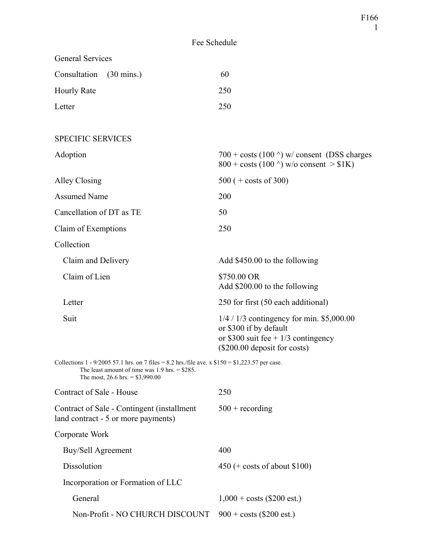| <b>General Services</b>                                                                                                                                                                   |                                                                                                                                                |
|-------------------------------------------------------------------------------------------------------------------------------------------------------------------------------------------|------------------------------------------------------------------------------------------------------------------------------------------------|
| Consultation<br>$(30 \text{ mins.})$                                                                                                                                                      | 60                                                                                                                                             |
| Hourly Rate                                                                                                                                                                               | 250                                                                                                                                            |
| Letter                                                                                                                                                                                    | 250                                                                                                                                            |
|                                                                                                                                                                                           |                                                                                                                                                |
| <b>SPECIFIC SERVICES</b>                                                                                                                                                                  |                                                                                                                                                |
| Adoption                                                                                                                                                                                  | $700 + \text{costs}$ (100 $\textdegree$ ) w/consent (DSS charges<br>$800 + \text{costs}$ (100 $\textdegree$ ) w/o consent > \$1K)              |
| Alley Closing                                                                                                                                                                             | $500 (+ \text{costs of } 300)$                                                                                                                 |
| <b>Assumed Name</b>                                                                                                                                                                       | 200                                                                                                                                            |
| Cancellation of DT as TE                                                                                                                                                                  | 50                                                                                                                                             |
| Claim of Exemptions                                                                                                                                                                       | 250                                                                                                                                            |
| Collection                                                                                                                                                                                |                                                                                                                                                |
| Claim and Delivery                                                                                                                                                                        | Add \$450.00 to the following                                                                                                                  |
| Claim of Lien                                                                                                                                                                             | \$750.00 OR<br>Add \$200.00 to the following                                                                                                   |
| Letter                                                                                                                                                                                    | 250 for first (50 each additional)                                                                                                             |
| Suit                                                                                                                                                                                      | $1/4 / 1/3$ contingency for min. \$5,000.00<br>or \$300 if by default<br>or \$300 suit fee + $1/3$ contingency<br>(\$200.00 deposit for costs) |
| Collections 1 - 9/2005 57.1 hrs. on 7 files = 8.2 hrs./file ave. x $$150 = $1,223.57$ per case.<br>The least amount of time was $1.9$ hrs. = \$285.<br>The most, $26.6$ hrs. = \$3,990.00 |                                                                                                                                                |
| Contract of Sale - House                                                                                                                                                                  | 250                                                                                                                                            |
| Contract of Sale - Contingent (installment<br>land contract - 5 or more payments)                                                                                                         | $500 +$ recording                                                                                                                              |
| Corporate Work                                                                                                                                                                            |                                                                                                                                                |
| Buy/Sell Agreement                                                                                                                                                                        | 400                                                                                                                                            |
| Dissolution                                                                                                                                                                               | $450 (+ \text{ costs of about } $100)$                                                                                                         |
| Incorporation or Formation of LLC                                                                                                                                                         |                                                                                                                                                |
| General                                                                                                                                                                                   | $1,000 + \text{costs}$ (\$200 est.)                                                                                                            |
| Non-Profit - NO CHURCH DISCOUNT                                                                                                                                                           | $900 + \text{costs}$ (\$200 est.)                                                                                                              |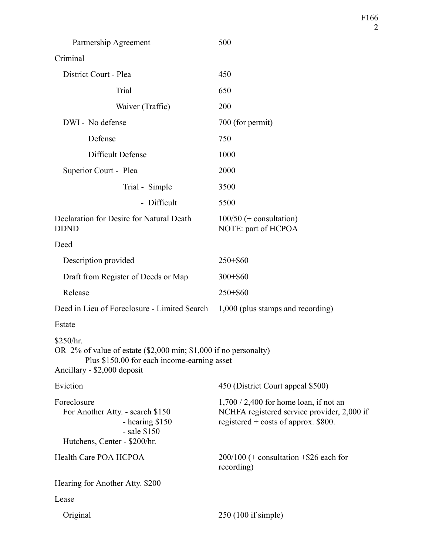| Partnership Agreement                                                                                                                                       | 500                                                                                                                               |
|-------------------------------------------------------------------------------------------------------------------------------------------------------------|-----------------------------------------------------------------------------------------------------------------------------------|
| Criminal                                                                                                                                                    |                                                                                                                                   |
| District Court - Plea                                                                                                                                       | 450                                                                                                                               |
| Trial                                                                                                                                                       | 650                                                                                                                               |
| Waiver (Traffic)                                                                                                                                            | 200                                                                                                                               |
| DWI - No defense                                                                                                                                            | 700 (for permit)                                                                                                                  |
| Defense                                                                                                                                                     | 750                                                                                                                               |
| Difficult Defense                                                                                                                                           | 1000                                                                                                                              |
| Superior Court - Plea                                                                                                                                       | 2000                                                                                                                              |
| Trial - Simple                                                                                                                                              | 3500                                                                                                                              |
| - Difficult                                                                                                                                                 | 5500                                                                                                                              |
| Declaration for Desire for Natural Death<br><b>DDND</b>                                                                                                     | $100/50$ (+ consultation)<br>NOTE: part of HCPOA                                                                                  |
| Deed                                                                                                                                                        |                                                                                                                                   |
| Description provided                                                                                                                                        | $250 + $60$                                                                                                                       |
| Draft from Register of Deeds or Map                                                                                                                         | $300 + $60$                                                                                                                       |
| Release                                                                                                                                                     | $250 + $60$                                                                                                                       |
| Deed in Lieu of Foreclosure - Limited Search 1,000 (plus stamps and recording)                                                                              |                                                                                                                                   |
| Estate                                                                                                                                                      |                                                                                                                                   |
| \$250/hr.<br>OR 2% of value of estate (\$2,000 min; \$1,000 if no personalty)<br>Plus \$150.00 for each income-earning asset<br>Ancillary - \$2,000 deposit |                                                                                                                                   |
| Eviction                                                                                                                                                    | 450 (District Court appeal \$500)                                                                                                 |
| Foreclosure<br>For Another Atty. - search \$150<br>- hearing \$150<br>$-$ sale \$150<br>Hutchens, Center - \$200/hr.                                        | $1,700 / 2,400$ for home loan, if not an<br>NCHFA registered service provider, 2,000 if<br>registered $+$ costs of approx. \$800. |
| Health Care POA HCPOA                                                                                                                                       | $200/100$ (+ consultation +\$26 each for<br>recording)                                                                            |
| Hearing for Another Atty. \$200                                                                                                                             |                                                                                                                                   |
| Lease                                                                                                                                                       |                                                                                                                                   |
| Original                                                                                                                                                    | $250(100$ if simple)                                                                                                              |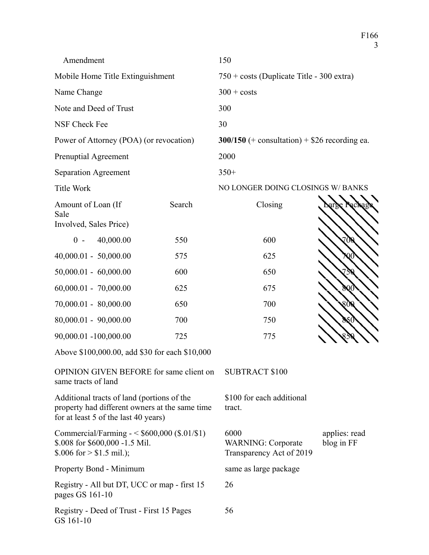3 Amendment 150 Mobile Home Title Extinguishment  $750 + \text{costs}$  (Duplicate Title - 300 extra) Name Change 300 + costs Note and Deed of Trust 300 NSF Check Fee 30 Power of Attorney (POA) (or revocation) **300/150** (+ consultation) + \$26 recording ea. Prenuptial Agreement 2000 Separation Agreement 350+ Title Work NO LONGER DOING CLOSINGS W/ BANKS Amount of Loan (If Sale Involved, Sales Price) Search Closing  $0 - 40,000.00$  550 600 40,000.01 - 50,000.00 575 625 50,000.01 - 60,000.00 600 650 60,000.01 - 70,000.00 625 675 800 70,000.01 - 80,000.00 650 650 700 80,000.01 - 90,000.00 700 700 750 90,000.01 -100,000.00 725 775

Above \$100,000.00, add \$30 for each \$10,000

OPINION GIVEN BEFORE for same client on same tracts of land

Additional tracts of land (portions of the property had different owners at the same time for at least 5 of the last 40 years)

Commercial/Farming - < \$600,000 (\$.01/\$1) \$.008 for \$600,000 -1.5 Mil.  $$.006$  for  $> $1.5$  mil.);

Property Bond - Minimum same as large package

Registry - All but DT, UCC or map - first 15 pages GS 161-10

Registry - Deed of Trust - First 15 Pages GS 161-10

SUBTRACT \$100

\$100 for each additional tract.

6000 WARNING: Corporate Transparency Act of 2019 applies: read blog in FF

F166

26

56